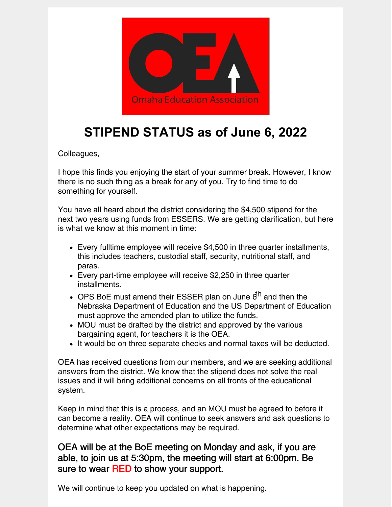

## **STIPEND STATUS as of June 6, 2022**

Colleagues,

I hope this finds you enjoying the start of your summer break. However, I know there is no such thing as a break for any of you. Try to find time to do something for yourself.

You have all heard about the district considering the \$4,500 stipend for the next two years using funds from ESSERS. We are getting clarification, but here is what we know at this moment in time:

- Every fulltime employee will receive \$4,500 in three quarter installments, this includes teachers, custodial staff, security, nutritional staff, and paras.
- Every part-time employee will receive \$2,250 in three quarter installments.
- OPS BoE must amend their ESSER plan on June 6<sup>th</sup> and then the Nebraska Department of Education and the US Department of Education must approve the amended plan to utilize the funds.
- MOU must be drafted by the district and approved by the various bargaining agent, for teachers it is the OEA.
- It would be on three separate checks and normal taxes will be deducted.

OEA has received questions from our members, and we are seeking additional answers from the district. We know that the stipend does not solve the real issues and it will bring additional concerns on all fronts of the educational system.

Keep in mind that this is a process, and an MOU must be agreed to before it can become a reality. OEA will continue to seek answers and ask questions to determine what other expectations may be required.

OEA will be at the BoE meeting on Monday and ask, if you are able, to join us at 5:30pm, the meeting will start at 6:00pm. Be sure to wear RED to show your support.

We will continue to keep you updated on what is happening.